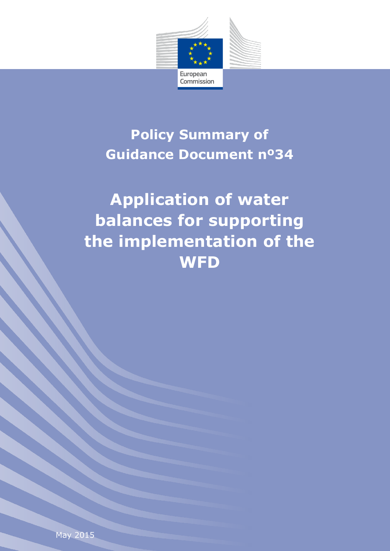

## **Policy Summary of Guidance Document nº34**

## **Application of water balances for supporting the implementation of the WFD**

May 2015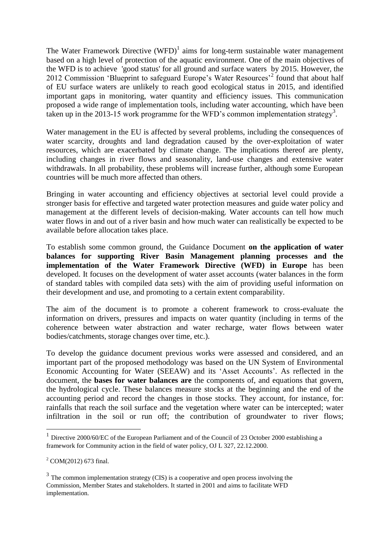The Water Framework Directive  $(WFD)^1$  aims for long-term sustainable water management based on a high level of protection of the aquatic environment. One of the main objectives of the WFD is to achieve 'good status' for all ground and surface waters by 2015. However, the 2012 Commission 'Blueprint to safeguard Europe's Water Resources<sup>,2</sup> found that about half of EU surface waters are unlikely to reach good ecological status in 2015, and identified important gaps in monitoring, water quantity and efficiency issues. This communication proposed a wide range of implementation tools, including water accounting, which have been taken up in the 2013-15 work programme for the WFD's common implementation strategy<sup>3</sup>.

Water management in the EU is affected by several problems, including the consequences of water scarcity, droughts and land degradation caused by the over-exploitation of water resources, which are exacerbated by climate change. The implications thereof are plenty, including changes in river flows and seasonality, land-use changes and extensive water withdrawals. In all probability, these problems will increase further, although some European countries will be much more affected than others.

Bringing in water accounting and efficiency objectives at sectorial level could provide a stronger basis for effective and targeted water protection measures and guide water policy and management at the different levels of decision-making. Water accounts can tell how much water flows in and out of a river basin and how much water can realistically be expected to be available before allocation takes place.

To establish some common ground, the Guidance Document **on the application of water balances for supporting River Basin Management planning processes and the implementation of the Water Framework Directive (WFD) in Europe** has been developed. It focuses on the development of water asset accounts (water balances in the form of standard tables with compiled data sets) with the aim of providing useful information on their development and use, and promoting to a certain extent comparability.

The aim of the document is to promote a coherent framework to cross-evaluate the information on drivers, pressures and impacts on water quantity (including in terms of the coherence between water abstraction and water recharge, water flows between water bodies/catchments, storage changes over time, etc.).

To develop the guidance document previous works were assessed and considered, and an important part of the proposed methodology was based on the UN System of Environmental Economic Accounting for Water (SEEAW) and its 'Asset Accounts'. As reflected in the document, the **bases for water balances are** the components of, and equations that govern, the hydrological cycle. These balances measure stocks at the beginning and the end of the accounting period and record the changes in those stocks. They account, for instance, for: rainfalls that reach the soil surface and the vegetation where water can be intercepted; water infiltration in the soil or run off; the contribution of groundwater to river flows;

 1 Directive 2000/60/EC of the European Parliament and of the Council of 23 October 2000 establishing a framework for Community action in the field of water policy, OJ L 327, 22.12.2000.

 $^{2}$  COM(2012) 673 final.

 $3$  The common implementation strategy (CIS) is a cooperative and open process involving the Commission, Member States and stakeholders. It started in 2001 and aims to facilitate WFD implementation.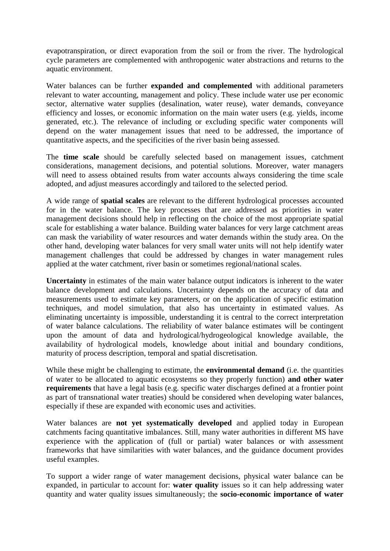evapotranspiration, or direct evaporation from the soil or from the river. The hydrological cycle parameters are complemented with anthropogenic water abstractions and returns to the aquatic environment.

Water balances can be further **expanded and complemented** with additional parameters relevant to water accounting, management and policy. These include water use per economic sector, alternative water supplies (desalination, water reuse), water demands, conveyance efficiency and losses, or economic information on the main water users (e.g. yields, income generated, etc.). The relevance of including or excluding specific water components will depend on the water management issues that need to be addressed, the importance of quantitative aspects, and the specificities of the river basin being assessed.

The **time scale** should be carefully selected based on management issues, catchment considerations, management decisions, and potential solutions. Moreover, water managers will need to assess obtained results from water accounts always considering the time scale adopted, and adjust measures accordingly and tailored to the selected period.

A wide range of **spatial scales** are relevant to the different hydrological processes accounted for in the water balance. The key processes that are addressed as priorities in water management decisions should help in reflecting on the choice of the most appropriate spatial scale for establishing a water balance. Building water balances for very large catchment areas can mask the variability of water resources and water demands within the study area. On the other hand, developing water balances for very small water units will not help identify water management challenges that could be addressed by changes in water management rules applied at the water catchment, river basin or sometimes regional/national scales.

**Uncertainty** in estimates of the main water balance output indicators is inherent to the water balance development and calculations. Uncertainty depends on the accuracy of data and measurements used to estimate key parameters, or on the application of specific estimation techniques, and model simulation, that also has uncertainty in estimated values. As eliminating uncertainty is impossible, understanding it is central to the correct interpretation of water balance calculations. The reliability of water balance estimates will be contingent upon the amount of data and hydrological/hydrogeological knowledge available, the availability of hydrological models, knowledge about initial and boundary conditions, maturity of process description, temporal and spatial discretisation.

While these might be challenging to estimate, the **environmental demand** (i.e. the quantities of water to be allocated to aquatic ecosystems so they properly function) **and other water requirements** that have a legal basis (e.g. specific water discharges defined at a frontier point as part of transnational water treaties) should be considered when developing water balances, especially if these are expanded with economic uses and activities.

Water balances are **not yet systematically developed** and applied today in European catchments facing quantitative imbalances. Still, many water authorities in different MS have experience with the application of (full or partial) water balances or with assessment frameworks that have similarities with water balances, and the guidance document provides useful examples.

To support a wider range of water management decisions, physical water balance can be expanded, in particular to account for: **water quality** issues so it can help addressing water quantity and water quality issues simultaneously; the **socio-economic importance of water**